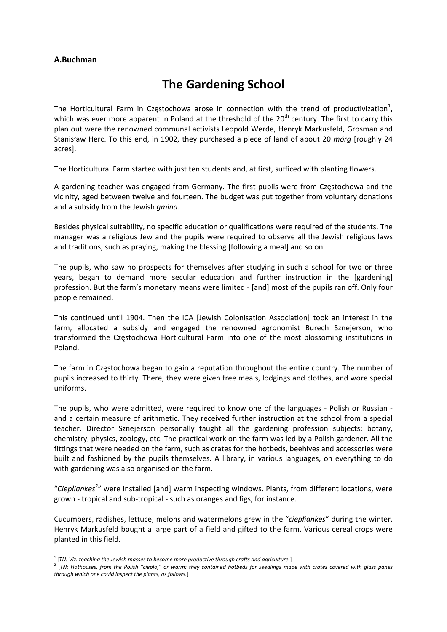## **A.Buchman**

## **The Gardening School**

The Horticultural Farm in Częstochowa arose in connection with the trend of productivization<sup>1</sup>, which was ever more apparent in Poland at the threshold of the  $20<sup>th</sup>$  century. The first to carry this plan out were the renowned communal activists Leopold Werde, Henryk Markusfeld, Grosman and Stanisław Herc. To this end, in 1902, they purchased a piece of land of about 20 *mórg* [roughly 24 acres].

The Horticultural Farm started with just ten students and, at first, sufficed with planting flowers.

A gardening teacher was engaged from Germany. The first pupils were from Częstochowa and the vicinity, aged between twelve and fourteen. The budget was put together from voluntary donations and a subsidy from the Jewish *gmina*.

Besides physical suitability, no specific education or qualifications were required of the students. The manager was a religious Jew and the pupils were required to observe all the Jewish religious laws and traditions, such as praying, making the blessing [following a meal] and so on.

The pupils, who saw no prospects for themselves after studying in such a school for two or three years, began to demand more secular education and further instruction in the [gardening] profession. But the farm's monetary means were limited ‐ [and] most of the pupils ran off. Only four people remained.

This continued until 1904. Then the ICA [Jewish Colonisation Association] took an interest in the farm, allocated a subsidy and engaged the renowned agronomist Burech Sznejerson, who transformed the Częstochowa Horticultural Farm into one of the most blossoming institutions in Poland.

The farm in Częstochowa began to gain a reputation throughout the entire country. The number of pupils increased to thirty. There, they were given free meals, lodgings and clothes, and wore special uniforms.

The pupils, who were admitted, were required to know one of the languages - Polish or Russian and a certain measure of arithmetic. They received further instruction at the school from a special teacher. Director Sznejerson personally taught all the gardening profession subjects: botany, chemistry, physics, zoology, etc. The practical work on the farm was led by a Polish gardener. All the fittings that were needed on the farm, such as crates for the hotbeds, beehives and accessories were built and fashioned by the pupils themselves. A library, in various languages, on everything to do with gardening was also organised on the farm.

"*Ciepłiankes<sup>2</sup>* " were installed [and] warm inspecting windows. Plants, from different locations, were grown ‐ tropical and sub‐tropical ‐ such as oranges and figs, for instance.

Cucumbers, radishes, lettuce, melons and watermelons grew in the "*ciepłiankes*" during the winter. Henryk Markusfeld bought a large part of a field and gifted to the farm. Various cereal crops were planted in this field.

<sup>1</sup> [*TN: Viz. teaching the Jewish masses to become more productive through crafts and agriculture.*]

<sup>&</sup>lt;sup>2</sup> [TN: Hothouses, from the Polish "cieplo," or warm; they contained hotbeds for seedlings made with crates covered with glass panes *through which one could inspect the plants, as follows.*]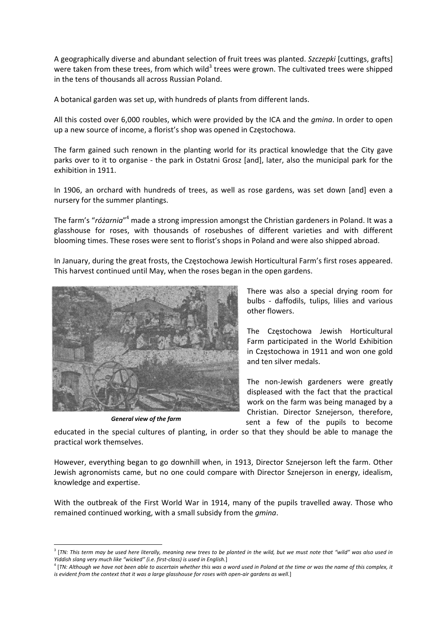A geographically diverse and abundant selection of fruit trees was planted. *Szczepki* [cuttings, grafts] were taken from these trees, from which wild<sup>3</sup> trees were grown. The cultivated trees were shipped in the tens of thousands all across Russian Poland.

A botanical garden was set up, with hundreds of plants from different lands.

All this costed over 6,000 roubles, which were provided by the ICA and the *gmina*. In order to open up a new source of income, a florist's shop was opened in Częstochowa.

The farm gained such renown in the planting world for its practical knowledge that the City gave parks over to it to organise - the park in Ostatni Grosz [and], later, also the municipal park for the exhibition in 1911.

In 1906, an orchard with hundreds of trees, as well as rose gardens, was set down [and] even a nursery for the summer plantings.

The farm's "*różarnia*" <sup>4</sup> made a strong impression amongst the Christian gardeners in Poland. It was a glasshouse for roses, with thousands of rosebushes of different varieties and with different blooming times. These roses were sent to florist's shops in Poland and were also shipped abroad.

In January, during the great frosts, the Częstochowa Jewish Horticultural Farm's first roses appeared. This harvest continued until May, when the roses began in the open gardens.



*General view of the farm*

There was also a special drying room for bulbs ‐ daffodils, tulips, lilies and various other flowers.

The Częstochowa Jewish Horticultural Farm participated in the World Exhibition in Częstochowa in 1911 and won one gold and ten silver medals.

The non‐Jewish gardeners were greatly displeased with the fact that the practical work on the farm was being managed by a Christian. Director Sznejerson, therefore, sent a few of the pupils to become

educated in the special cultures of planting, in order so that they should be able to manage the practical work themselves.

However, everything began to go downhill when, in 1913, Director Sznejerson left the farm. Other Jewish agronomists came, but no one could compare with Director Sznejerson in energy, idealism, knowledge and expertise.

With the outbreak of the First World War in 1914, many of the pupils travelled away. Those who remained continued working, with a small subsidy from the *gmina*.

<sup>&</sup>lt;sup>3</sup> [TN: This term may be used here literally, meaning new trees to be planted in the wild, but we must note that "wild" was also used in *Yiddish slang very much like "wicked" (i.e. first‐class) is used in English.*]

<sup>&</sup>lt;sup>4</sup> [TN: Although we have not been able to ascertain whether this was a word used in Poland at the time or was the name of this complex, it is evident from the context that it was a large glasshouse for roses with open-air gardens as well.]